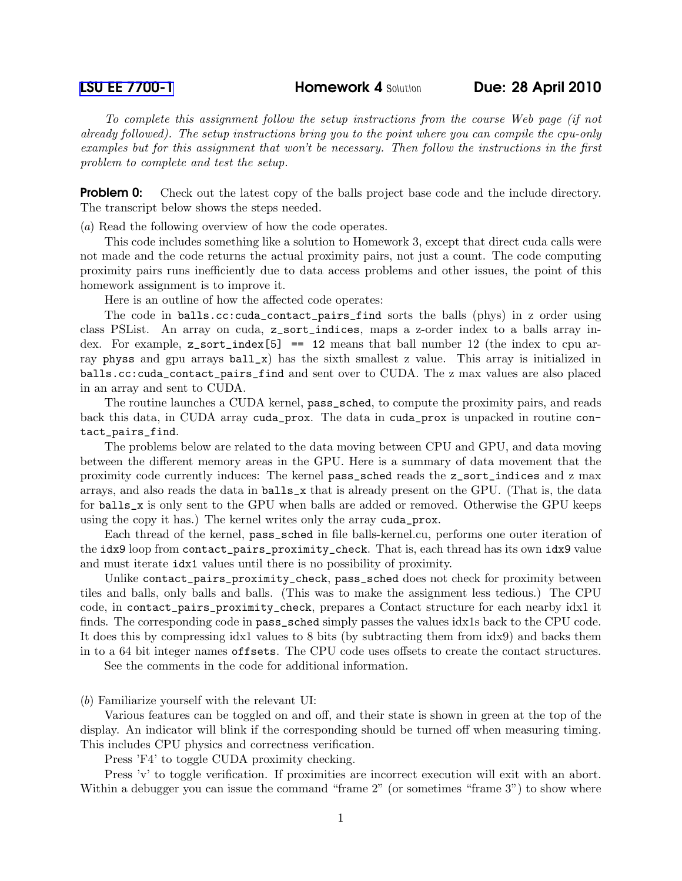*To complete this assignment follow the setup instructions from the course Web page (if not already followed). The setup instructions bring you to the point where you can compile the cpu-only examples but for this assignment that won't be necessary. Then follow the instructions in the first problem to complete and test the setup.*

**Problem 0:** Check out the latest copy of the balls project base code and the include directory. The transcript below shows the steps needed.

(*a*) Read the following overview of how the code operates.

This code includes something like a solution to Homework 3, except that direct cuda calls were not made and the code returns the actual proximity pairs, not just a count. The code computing proximity pairs runs inefficiently due to data access problems and other issues, the point of this homework assignment is to improve it.

Here is an outline of how the affected code operates:

The code in balls.cc:cuda\_contact\_pairs\_find sorts the balls (phys) in z order using class PSList. An array on cuda, z\_sort\_indices, maps a z-order index to a balls array index. For example,  $z$  sort\_index [5] == 12 means that ball number 12 (the index to cpu array physs and gpu arrays  $ball_x$ ) has the sixth smallest z value. This array is initialized in balls.cc:cuda\_contact\_pairs\_find and sent over to CUDA. The z max values are also placed in an array and sent to CUDA.

The routine launches a CUDA kernel, pass\_sched, to compute the proximity pairs, and reads back this data, in CUDA array cuda\_prox. The data in cuda\_prox is unpacked in routine contact\_pairs\_find.

The problems below are related to the data moving between CPU and GPU, and data moving between the different memory areas in the GPU. Here is a summary of data movement that the proximity code currently induces: The kernel pass\_sched reads the z\_sort\_indices and z max arrays, and also reads the data in balls\_x that is already present on the GPU. (That is, the data for balls\_x is only sent to the GPU when balls are added or removed. Otherwise the GPU keeps using the copy it has.) The kernel writes only the array cuda\_prox.

Each thread of the kernel, pass\_sched in file balls-kernel.cu, performs one outer iteration of the idx9 loop from contact\_pairs\_proximity\_check. That is, each thread has its own idx9 value and must iterate idx1 values until there is no possibility of proximity.

Unlike contact\_pairs\_proximity\_check, pass\_sched does not check for proximity between tiles and balls, only balls and balls. (This was to make the assignment less tedious.) The CPU code, in contact\_pairs\_proximity\_check, prepares a Contact structure for each nearby idx1 it finds. The corresponding code in pass\_sched simply passes the values idx1s back to the CPU code. It does this by compressing idx1 values to 8 bits (by subtracting them from idx9) and backs them in to a 64 bit integer names offsets. The CPU code uses offsets to create the contact structures.

See the comments in the code for additional information.

(*b*) Familiarize yourself with the relevant UI:

Various features can be toggled on and off, and their state is shown in green at the top of the display. An indicator will blink if the corresponding should be turned off when measuring timing. This includes CPU physics and correctness verification.

Press 'F4' to toggle CUDA proximity checking.

Press 'v' to toggle verification. If proximities are incorrect execution will exit with an abort. Within a debugger you can issue the command "frame 2" (or sometimes "frame 3") to show where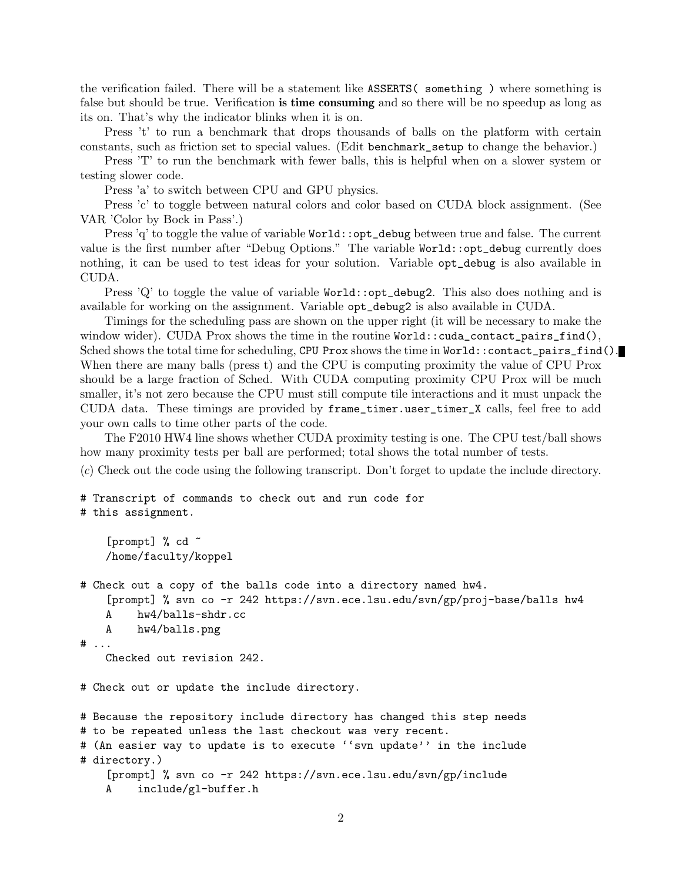the verification failed. There will be a statement like ASSERTS( something ) where something is false but should be true. Verification is time consuming and so there will be no speedup as long as its on. That's why the indicator blinks when it is on.

Press 't' to run a benchmark that drops thousands of balls on the platform with certain constants, such as friction set to special values. (Edit benchmark\_setup to change the behavior.)

Press 'T' to run the benchmark with fewer balls, this is helpful when on a slower system or testing slower code.

Press 'a' to switch between CPU and GPU physics.

Press 'c' to toggle between natural colors and color based on CUDA block assignment. (See VAR 'Color by Bock in Pass'.)

Press 'q' to toggle the value of variable World::opt\_debug between true and false. The current value is the first number after "Debug Options." The variable World::opt\_debug currently does nothing, it can be used to test ideas for your solution. Variable opt\_debug is also available in CUDA.

Press  $'Q'$  to toggle the value of variable  $Word:opt\_debug2$ . This also does nothing and is available for working on the assignment. Variable opt\_debug2 is also available in CUDA.

Timings for the scheduling pass are shown on the upper right (it will be necessary to make the window wider). CUDA Prox shows the time in the routine World::cuda\_contact\_pairs\_find(), Sched shows the total time for scheduling, CPU Prox shows the time in World::contact\_pairs\_find(). When there are many balls (press t) and the CPU is computing proximity the value of CPU Prox should be a large fraction of Sched. With CUDA computing proximity CPU Prox will be much smaller, it's not zero because the CPU must still compute tile interactions and it must unpack the CUDA data. These timings are provided by frame\_timer.user\_timer\_X calls, feel free to add your own calls to time other parts of the code.

The F2010 HW4 line shows whether CUDA proximity testing is one. The CPU test/ball shows how many proximity tests per ball are performed; total shows the total number of tests.

(*c*) Check out the code using the following transcript. Don't forget to update the include directory.

```
# Transcript of commands to check out and run code for
# this assignment.
```

```
[prompt] % cd ~
/home/faculty/koppel
```

```
# Check out a copy of the balls code into a directory named hw4.
    [prompt] % svn co -r 242 https://svn.ece.lsu.edu/svn/gp/proj-base/balls hw4
   A hw4/balls-shdr.cc
   A hw4/balls.png
```

```
# ...
```
Checked out revision 242.

# Check out or update the include directory.

```
# Because the repository include directory has changed this step needs
# to be repeated unless the last checkout was very recent.
# (An easier way to update is to execute ''svn update'' in the include
# directory.)
    [prompt] % svn co -r 242 https://svn.ece.lsu.edu/svn/gp/include
    A include/gl-buffer.h
```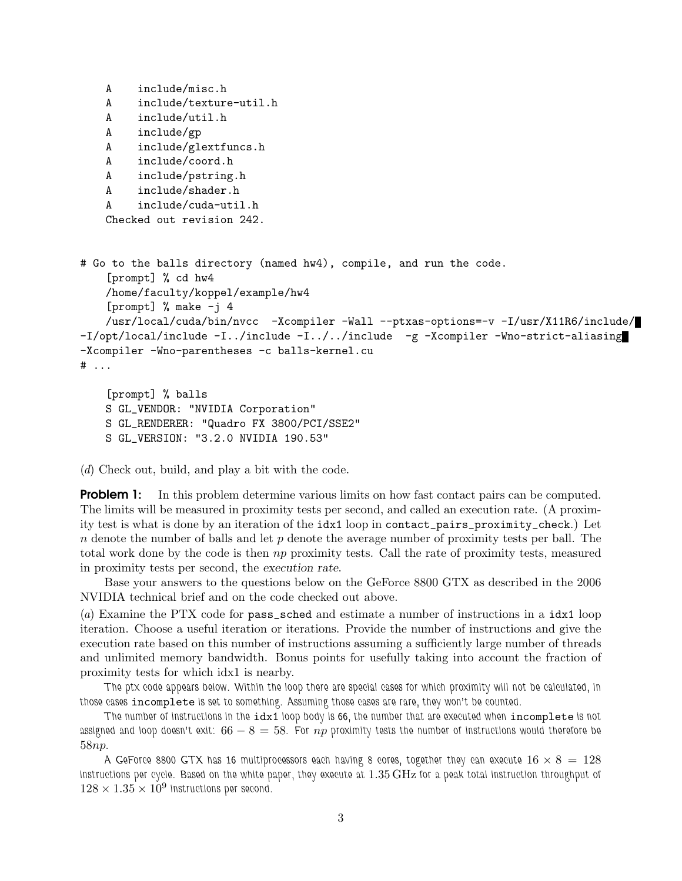```
A include/misc.h
   A include/texture-util.h
   A include/util.h
   A include/gp
   A include/glextfuncs.h
   A include/coord.h
   A include/pstring.h
   A include/shader.h
   A include/cuda-util.h
   Checked out revision 242.
# Go to the balls directory (named hw4), compile, and run the code.
    [prompt] % cd hw4
   /home/faculty/koppel/example/hw4
    [prompt] % make -i 4
   /usr/local/cuda/bin/nvcc -Xcompiler -Wall --ptxas-options=-v -I/usr/X11R6/include/
-I/opt/local/include -I../include -I../../include -g -Xcompiler -Wno-strict-aliasing
-Xcompiler -Wno-parentheses -c balls-kernel.cu
# ...
    [prompt] % balls
```

```
S GL_VENDOR: "NVIDIA Corporation"
S GL_RENDERER: "Quadro FX 3800/PCI/SSE2"
S GL_VERSION: "3.2.0 NVIDIA 190.53"
```
(*d*) Check out, build, and play a bit with the code.

**Problem 1:** In this problem determine various limits on how fast contact pairs can be computed. The limits will be measured in proximity tests per second, and called an execution rate. (A proximity test is what is done by an iteration of the idx1 loop in contact\_pairs\_proximity\_check.) Let  $n$  denote the number of balls and let  $p$  denote the average number of proximity tests per ball. The total work done by the code is then np proximity tests. Call the rate of proximity tests, measured in proximity tests per second, the execution rate.

Base your answers to the questions below on the GeForce 8800 GTX as described in the 2006 NVIDIA technical brief and on the code checked out above.

(*a*) Examine the PTX code for pass\_sched and estimate a number of instructions in a idx1 loop iteration. Choose a useful iteration or iterations. Provide the number of instructions and give the execution rate based on this number of instructions assuming a sufficiently large number of threads and unlimited memory bandwidth. Bonus points for usefully taking into account the fraction of proximity tests for which idx1 is nearby.

*The ptx code appears below. Within the loop there are special cases for which proximity will not be calculated, in those cases* incomplete *is set to something. Assuming those cases are rare, they won't be counted.*

*The number of instructions in the* idx1 *loop body is 66, the number that are executed when* incomplete *is not assigned and loop doesn't exit:* 66 − 8 = 58*. For* np *proximity tests the number of instructions would therefore be* 58np*.*

A GeForce 8800 GTX has 16 multiprocessors each having 8 cores, together they can execute  $16 \times 8 = 128$ *instructions per cycle. Based on the white paper, they execute at* 1.35 GHz *for a peak total instruction throughput of*  $128 \times 1.35 \times 10^9$  instructions per second.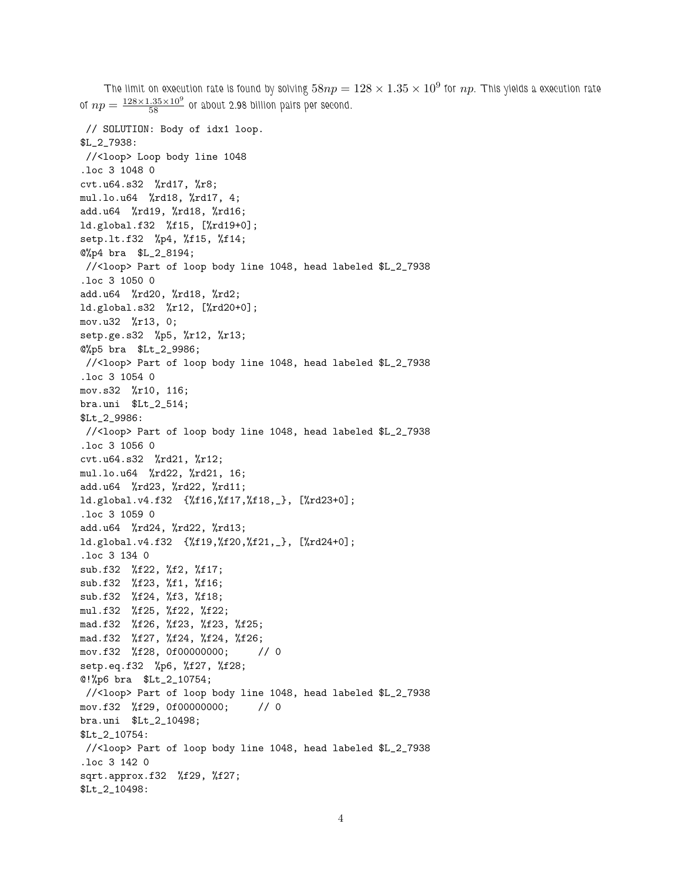The limit on execution rate is found by solving  $58np=128\times1.35\times10^9$  for  $np$ . This yields a execution rate of  $np = \frac{128 \times 1.35 \times 10^9}{58}$  or about 2.98 billion pairs per second. // SOLUTION: Body of idx1 loop. \$L\_2\_7938: //<loop> Loop body line 1048 .loc 3 1048 0 cvt.u64.s32 %rd17, %r8; mul.lo.u64 %rd18, %rd17, 4; add.u64 %rd19, %rd18, %rd16; ld.global.f32 %f15, [%rd19+0]; setp.lt.f32 %p4, %f15, %f14; @%p4 bra \$L\_2\_8194; //<loop> Part of loop body line 1048, head labeled \$L\_2\_7938 .loc 3 1050 0 add.u64 %rd20, %rd18, %rd2; ld.global.s32 %r12, [%rd20+0]; mov.u32 %r13, 0; setp.ge.s32 %p5, %r12, %r13; @%p5 bra \$Lt\_2\_9986; //<loop> Part of loop body line 1048, head labeled \$L\_2\_7938 .loc 3 1054 0 mov.s32 %r10, 116; bra.uni \$Lt\_2\_514; \$Lt\_2\_9986: //<loop> Part of loop body line 1048, head labeled \$L\_2\_7938 .loc 3 1056 0 cvt.u64.s32 %rd21, %r12; mul.lo.u64 %rd22, %rd21, 16; add.u64 %rd23, %rd22, %rd11; ld.global.v4.f32 {%f16,%f17,%f18,\_}, [%rd23+0]; .loc 3 1059 0 add.u64 %rd24, %rd22, %rd13; ld.global.v4.f32 {%f19,%f20,%f21,\_}, [%rd24+0]; .loc 3 134 0 sub.f32 %f22, %f2, %f17; sub.f32 %f23, %f1, %f16; sub.f32 %f24, %f3, %f18; mul.f32 %f25, %f22, %f22; mad.f32 %f26, %f23, %f23, %f25; mad.f32 %f27, %f24, %f24, %f26; mov.f32 %f28, 0f00000000; // 0 setp.eq.f32 %p6, %f27, %f28; @!%p6 bra \$Lt\_2\_10754; //<loop> Part of loop body line 1048, head labeled \$L\_2\_7938 mov.f32 %f29, 0f00000000; // 0 bra.uni \$Lt\_2\_10498; \$Lt\_2\_10754: //<loop> Part of loop body line 1048, head labeled \$L\_2\_7938 .loc 3 142 0 sqrt.approx.f32 %f29, %f27; \$Lt\_2\_10498: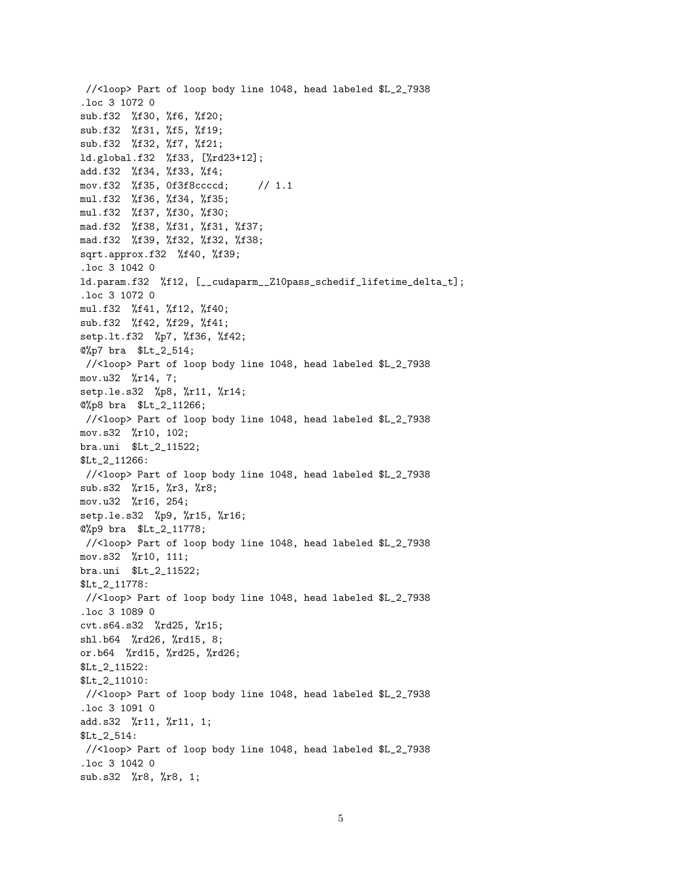//<loop> Part of loop body line 1048, head labeled \$L\_2\_7938 .loc 3 1072 0 sub.f32 %f30, %f6, %f20; sub.f32 %f31, %f5, %f19; sub.f32 %f32, %f7, %f21; ld.global.f32 %f33, [%rd23+12]; add.f32 %f34, %f33, %f4; mov.f32 %f35, 0f3f8ccccd; // 1.1 mul.f32 %f36, %f34, %f35; mul.f32 %f37, %f30, %f30; mad.f32 %f38, %f31, %f31, %f37; mad.f32 %f39, %f32, %f32, %f38; sqrt.approx.f32 %f40, %f39; .loc 3 1042 0 ld.param.f32 %f12, [\_\_cudaparm\_\_Z10pass\_schedif\_lifetime\_delta\_t]; .loc 3 1072 0 mul.f32 %f41, %f12, %f40; sub.f32 %f42, %f29, %f41; setp.lt.f32 %p7, %f36, %f42; @%p7 bra \$Lt\_2\_514; //<loop> Part of loop body line 1048, head labeled \$L\_2\_7938 mov.u32 %r14, 7; setp.le.s32 %p8, %r11, %r14; @%p8 bra \$Lt\_2\_11266; //<loop> Part of loop body line 1048, head labeled \$L\_2\_7938 mov.s32 %r10, 102; bra.uni \$Lt\_2\_11522; \$Lt\_2\_11266: //<loop> Part of loop body line 1048, head labeled \$L\_2\_7938 sub.s32 %r15, %r3, %r8; mov.u32 %r16, 254; setp.le.s32 %p9, %r15, %r16; @%p9 bra \$Lt\_2\_11778; //<loop> Part of loop body line 1048, head labeled \$L\_2\_7938 mov.s32 %r10, 111; bra.uni \$Lt\_2\_11522; \$Lt\_2\_11778: //<loop> Part of loop body line 1048, head labeled \$L\_2\_7938 .loc 3 1089 0 cvt.s64.s32 %rd25, %r15; shl.b64 %rd26, %rd15, 8; or.b64 %rd15, %rd25, %rd26; \$Lt\_2\_11522: \$Lt\_2\_11010: //<loop> Part of loop body line 1048, head labeled \$L\_2\_7938 .loc 3 1091 0 add.s32 %r11, %r11, 1; \$Lt\_2\_514: //<loop> Part of loop body line 1048, head labeled \$L\_2\_7938 .loc 3 1042 0 sub.s32 %r8, %r8, 1;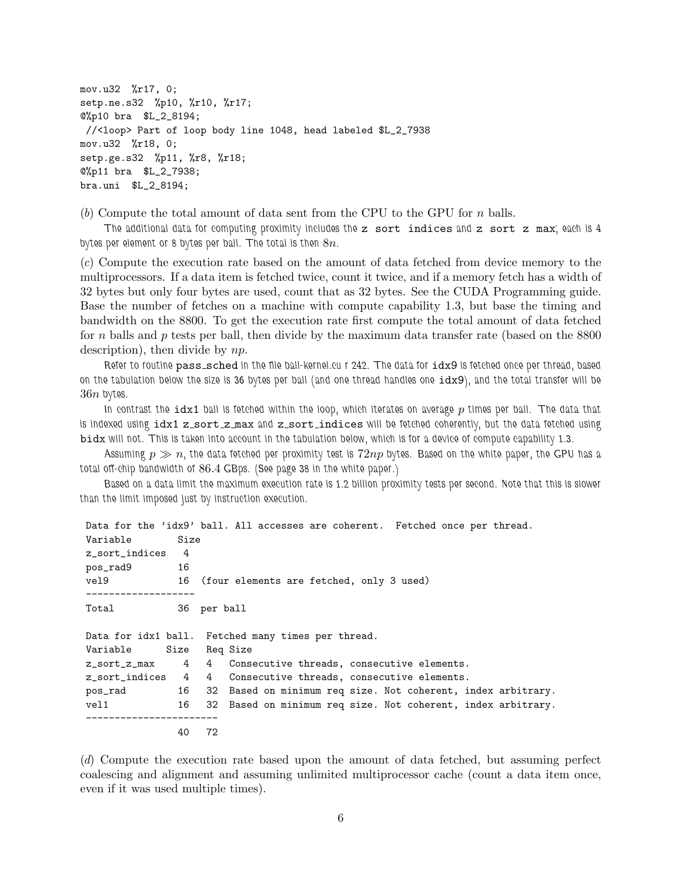mov.u32 %r17, 0; setp.ne.s32 %p10, %r10, %r17; @%p10 bra \$L\_2\_8194; //<loop> Part of loop body line 1048, head labeled \$L\_2\_7938 mov.u32 %r18, 0; setp.ge.s32 %p11, %r8, %r18; @%p11 bra \$L\_2\_7938; bra.uni \$L\_2\_8194;

(*b*) Compute the total amount of data sent from the CPU to the GPU for n balls.

*The additional data for computing proximity includes the* z sort indices *and* z sort z max*; each is 4 bytes per element or 8 bytes per ball. The total is then* 8n*.*

(*c*) Compute the execution rate based on the amount of data fetched from device memory to the multiprocessors. If a data item is fetched twice, count it twice, and if a memory fetch has a width of 32 bytes but only four bytes are used, count that as 32 bytes. See the CUDA Programming guide. Base the number of fetches on a machine with compute capability 1.3, but base the timing and bandwidth on the 8800. To get the execution rate first compute the total amount of data fetched for n balls and p tests per ball, then divide by the maximum data transfer rate (based on the  $8800$ ) description), then divide by np.

Refer to routine pass\_sched in the file ball-kernel.cu r 242. The data for  $idx9$  is fetched once per thread, based *on the tabulation below the size is 36 bytes per ball (and one thread handles one* idx9*), and the total transfer will be* 36n *bytes.*

*In contrast the* idx1 *ball is fetched within the loop, which iterates on average* p *times per ball. The data that is indexed using* idx1 z sort z max *and* z sort indices *will be fetched coherently, but the data fetched using* bidx *will not. This is taken into account in the tabulation below, which is for a device of compute capability 1.3.*

*Assuming* p ≫ n*, the data fetched per proximity test is* 72np *bytes. Based on the white paper, the GPU has a total off-chip bandwidth of* 86.4 *GBps. (See page 38 in the white paper.)*

*Based on a data limit the maximum execution rate is 1.2 billion proximity tests per second. Note that this is slower than the limit imposed just by instruction execution.*

|                  |               |    | Data for the 'idx9' ball. All accesses are coherent. Fetched once per thread. |
|------------------|---------------|----|-------------------------------------------------------------------------------|
| Variable         | Size          |    |                                                                               |
| z_sort_indices 4 |               |    |                                                                               |
| pos_rad9         | - 16          |    |                                                                               |
| vel9             |               |    | 16 (four elements are fetched, only 3 used)                                   |
|                  |               |    |                                                                               |
| Total            | 36 per ball   |    |                                                                               |
|                  |               |    | Data for idx1 ball. Fetched many times per thread.                            |
| Variable         | Size Req Size |    |                                                                               |
|                  |               |    | z_sort_z_max 4 4 Consecutive threads, consecutive elements.                   |
|                  |               |    | z_sort_indices 4 4 Consecutive threads, consecutive elements.                 |
| pos_rad          |               |    | 16 32 Based on minimum req size. Not coherent, index arbitrary.               |
| $v$ el $1$       |               |    | 16 32 Based on minimum req size. Not coherent, index arbitrary.               |
|                  | 40            | 72 |                                                                               |

(*d*) Compute the execution rate based upon the amount of data fetched, but assuming perfect coalescing and alignment and assuming unlimited multiprocessor cache (count a data item once, even if it was used multiple times).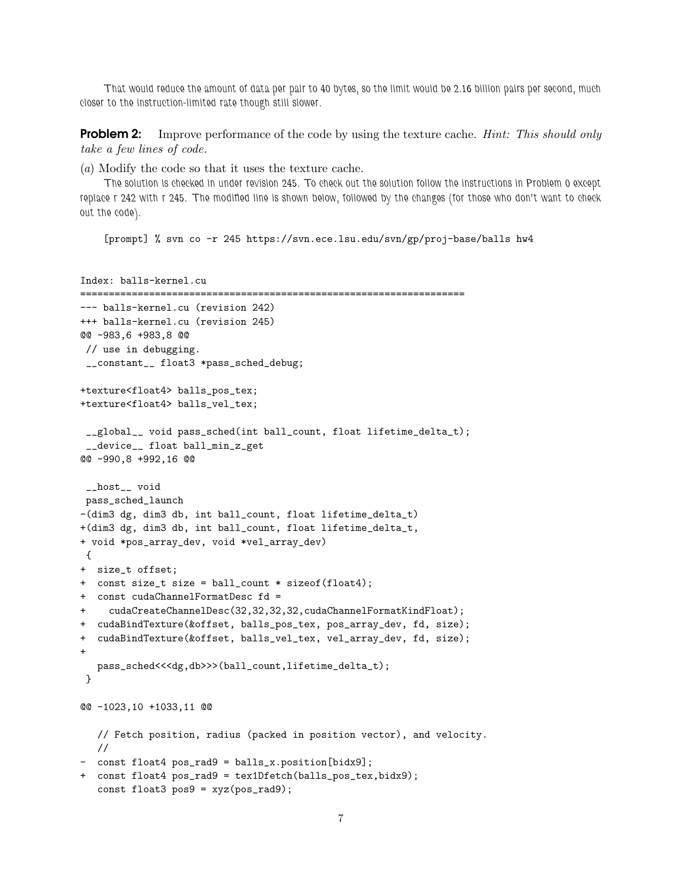*That would reduce the amount of data per pair to 40 bytes, so the limit would be 2.16 billion pairs per second, much closer to the instruction-limited rate though still slower.*

Problem 2: Improve performance of the code by using the texture cache. *Hint: This should only take a few lines of code.*

(*a*) Modify the code so that it uses the texture cache.

*The solution is checked in under revision 245. To check out the solution follow the instructions in Problem 0 except replace r 242 with r 245. The modified line is shown below, followed by the changes (for those who don't want to check out the code).*

[prompt] % svn co -r 245 https://svn.ece.lsu.edu/svn/gp/proj-base/balls hw4

```
Index: balls-kernel.cu
===================================================================
--- balls-kernel.cu (revision 242)
+++ balls-kernel.cu (revision 245)
@@ -983,6 +983,8 @@
// use in debugging.
__constant__ float3 *pass_sched_debug;
+texture<float4> balls_pos_tex;
+texture<float4> balls_vel_tex;
__global__ void pass_sched(int ball_count, float lifetime_delta_t);
 __device__ float ball_min_z_get
@@ -990,8 +992,16 @@
__host__ void
pass_sched_launch
-(dim3 dg, dim3 db, int ball_count, float lifetime_delta_t)
+(dim3 dg, dim3 db, int ball_count, float lifetime_delta_t,
+ void *pos_array_dev, void *vel_array_dev)
{
+ size_t offset;
+ const size_t size = ball_count * sizeof(float4);
+ const cudaChannelFormatDesc fd =
    + cudaCreateChannelDesc(32,32,32,32,cudaChannelFormatKindFloat);
+ cudaBindTexture(&offset, balls_pos_tex, pos_array_dev, fd, size);
+ cudaBindTexture(&offset, balls_vel_tex, vel_array_dev, fd, size);
+
  pass_sched<<<dg,db>>>(ball_count,lifetime_delta_t);
}
@@ -1023,10 +1033,11 @@
  // Fetch position, radius (packed in position vector), and velocity.
  //
- const float4 pos_rad9 = balls_x.position[bidx9];
+ const float4 pos_rad9 = tex1Dfetch(balls_pos_tex,bidx9);
  const float3 pos9 = xyz(pos_rad9);
```